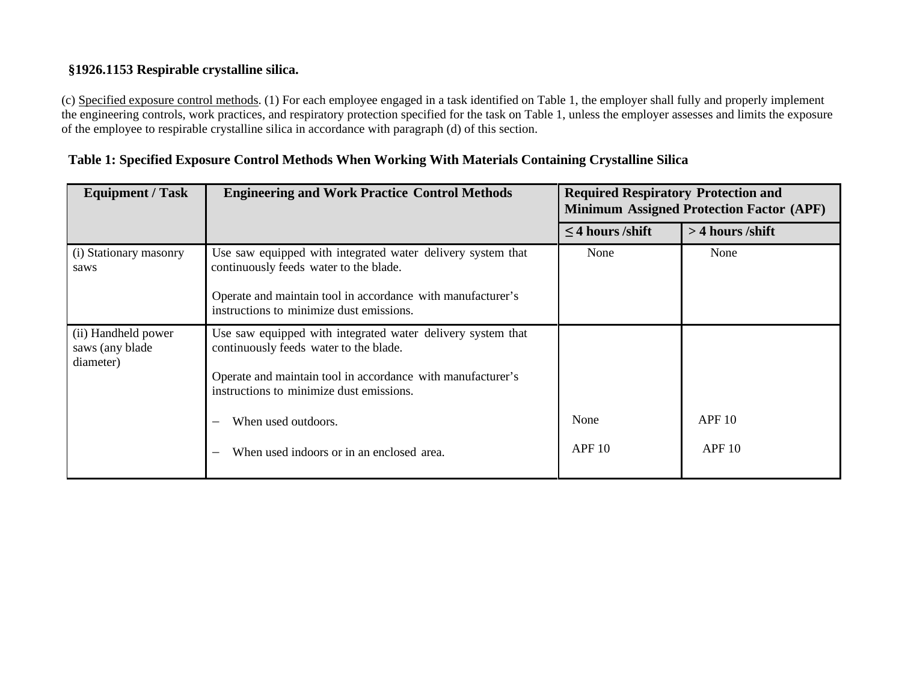## **§1926.1153 Respirable crystalline silica.**

(c) Specified exposure control methods. (1) For each employee engaged in a task identified on Table 1, the employer shall fully and properly implement the engineering controls, work practices, and respiratory protection specified for the task on Table 1, unless the employer assesses and limits the exposure of the employee to respirable crystalline silica in accordance with paragraph (d) of this section.

| <b>Equipment / Task</b>                              | <b>Engineering and Work Practice Control Methods</b>                                                                                                                                                             | <b>Required Respiratory Protection and</b><br><b>Minimum Assigned Protection Factor (APF)</b> |                    |
|------------------------------------------------------|------------------------------------------------------------------------------------------------------------------------------------------------------------------------------------------------------------------|-----------------------------------------------------------------------------------------------|--------------------|
|                                                      |                                                                                                                                                                                                                  | $\leq$ 4 hours /shift                                                                         | $>$ 4 hours /shift |
| (i) Stationary masonry<br>saws                       | Use saw equipped with integrated water delivery system that<br>continuously feeds water to the blade.<br>Operate and maintain tool in accordance with manufacturer's<br>instructions to minimize dust emissions. | None                                                                                          | None               |
|                                                      |                                                                                                                                                                                                                  |                                                                                               |                    |
| (ii) Handheld power<br>saws (any blade)<br>diameter) | Use saw equipped with integrated water delivery system that<br>continuously feeds water to the blade.<br>Operate and maintain tool in accordance with manufacturer's<br>instructions to minimize dust emissions. |                                                                                               |                    |
|                                                      | When used outdoors.                                                                                                                                                                                              | None                                                                                          | <b>APF 10</b>      |
|                                                      | When used indoors or in an enclosed area.                                                                                                                                                                        | APF10                                                                                         | APF10              |

## **Table 1: Specified Exposure Control Methods When Working With Materials Containing Crystalline Silica**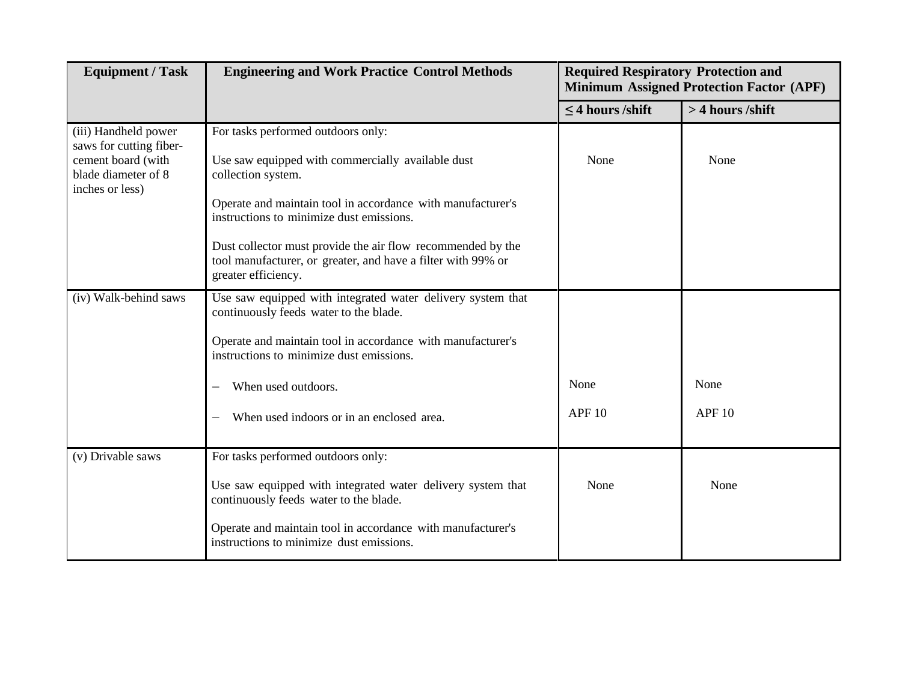| <b>Equipment / Task</b>                                                                                         | <b>Engineering and Work Practice Control Methods</b>                                                                                                                                                                                                                                                                                                                           | <b>Required Respiratory Protection and</b><br><b>Minimum Assigned Protection Factor (APF)</b> |                       |
|-----------------------------------------------------------------------------------------------------------------|--------------------------------------------------------------------------------------------------------------------------------------------------------------------------------------------------------------------------------------------------------------------------------------------------------------------------------------------------------------------------------|-----------------------------------------------------------------------------------------------|-----------------------|
|                                                                                                                 |                                                                                                                                                                                                                                                                                                                                                                                | $\leq$ 4 hours /shift                                                                         | > 4 hours /shift      |
| (iii) Handheld power<br>saws for cutting fiber-<br>cement board (with<br>blade diameter of 8<br>inches or less) | For tasks performed outdoors only:<br>Use saw equipped with commercially available dust<br>collection system.<br>Operate and maintain tool in accordance with manufacturer's<br>instructions to minimize dust emissions.<br>Dust collector must provide the air flow recommended by the<br>tool manufacturer, or greater, and have a filter with 99% or<br>greater efficiency. | None                                                                                          | None                  |
| (iv) Walk-behind saws                                                                                           | Use saw equipped with integrated water delivery system that<br>continuously feeds water to the blade.<br>Operate and maintain tool in accordance with manufacturer's<br>instructions to minimize dust emissions.<br>When used outdoors.<br>When used indoors or in an enclosed area.                                                                                           | None<br><b>APF 10</b>                                                                         | None<br><b>APF 10</b> |
| (v) Drivable saws                                                                                               | For tasks performed outdoors only:<br>Use saw equipped with integrated water delivery system that<br>continuously feeds water to the blade.<br>Operate and maintain tool in accordance with manufacturer's<br>instructions to minimize dust emissions.                                                                                                                         | None                                                                                          | None                  |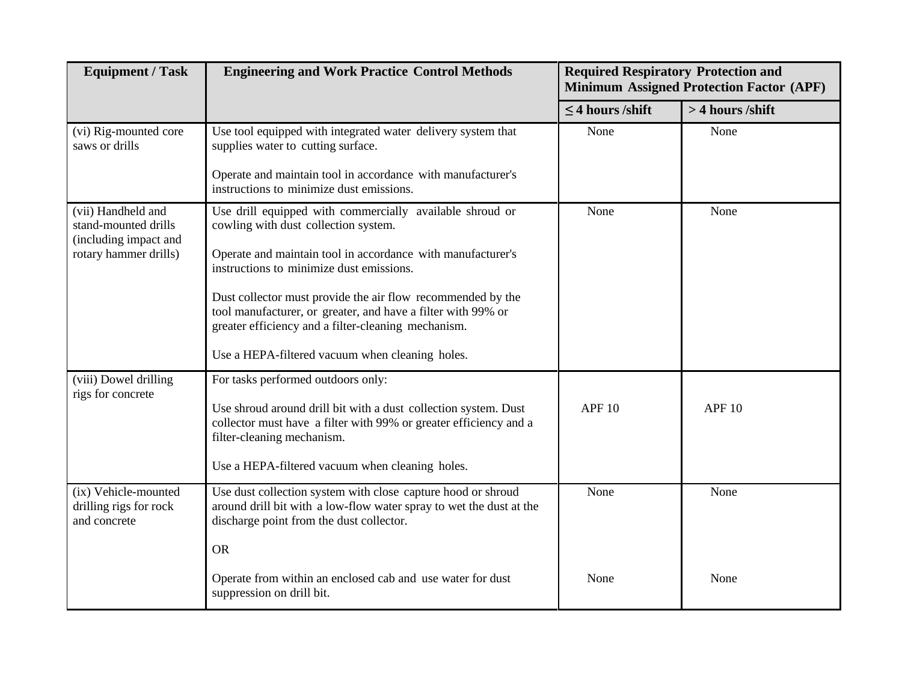| <b>Equipment / Task</b>                                             | <b>Engineering and Work Practice Control Methods</b>                                                                                                                               | <b>Required Respiratory Protection and</b> | <b>Minimum Assigned Protection Factor (APF)</b> |  |
|---------------------------------------------------------------------|------------------------------------------------------------------------------------------------------------------------------------------------------------------------------------|--------------------------------------------|-------------------------------------------------|--|
|                                                                     |                                                                                                                                                                                    | $\leq$ 4 hours /shift                      | > 4 hours /shift                                |  |
| (vi) Rig-mounted core<br>saws or drills                             | Use tool equipped with integrated water delivery system that<br>supplies water to cutting surface.                                                                                 | None                                       | None                                            |  |
|                                                                     | Operate and maintain tool in accordance with manufacturer's<br>instructions to minimize dust emissions.                                                                            |                                            |                                                 |  |
| (vii) Handheld and<br>stand-mounted drills<br>(including impact and | Use drill equipped with commercially available shroud or<br>cowling with dust collection system.                                                                                   | None                                       | None                                            |  |
| rotary hammer drills)                                               | Operate and maintain tool in accordance with manufacturer's<br>instructions to minimize dust emissions.                                                                            |                                            |                                                 |  |
|                                                                     | Dust collector must provide the air flow recommended by the<br>tool manufacturer, or greater, and have a filter with 99% or<br>greater efficiency and a filter-cleaning mechanism. |                                            |                                                 |  |
|                                                                     | Use a HEPA-filtered vacuum when cleaning holes.                                                                                                                                    |                                            |                                                 |  |
| (viii) Dowel drilling<br>rigs for concrete                          | For tasks performed outdoors only:                                                                                                                                                 |                                            |                                                 |  |
|                                                                     | Use shroud around drill bit with a dust collection system. Dust<br>collector must have a filter with 99% or greater efficiency and a<br>filter-cleaning mechanism.                 | <b>APF 10</b>                              | APF <sub>10</sub>                               |  |
|                                                                     | Use a HEPA-filtered vacuum when cleaning holes.                                                                                                                                    |                                            |                                                 |  |
| (ix) Vehicle-mounted<br>drilling rigs for rock<br>and concrete      | Use dust collection system with close capture hood or shroud<br>around drill bit with a low-flow water spray to wet the dust at the<br>discharge point from the dust collector.    | None                                       | None                                            |  |
|                                                                     | <b>OR</b>                                                                                                                                                                          |                                            |                                                 |  |
|                                                                     | Operate from within an enclosed cab and use water for dust<br>suppression on drill bit.                                                                                            | None                                       | None                                            |  |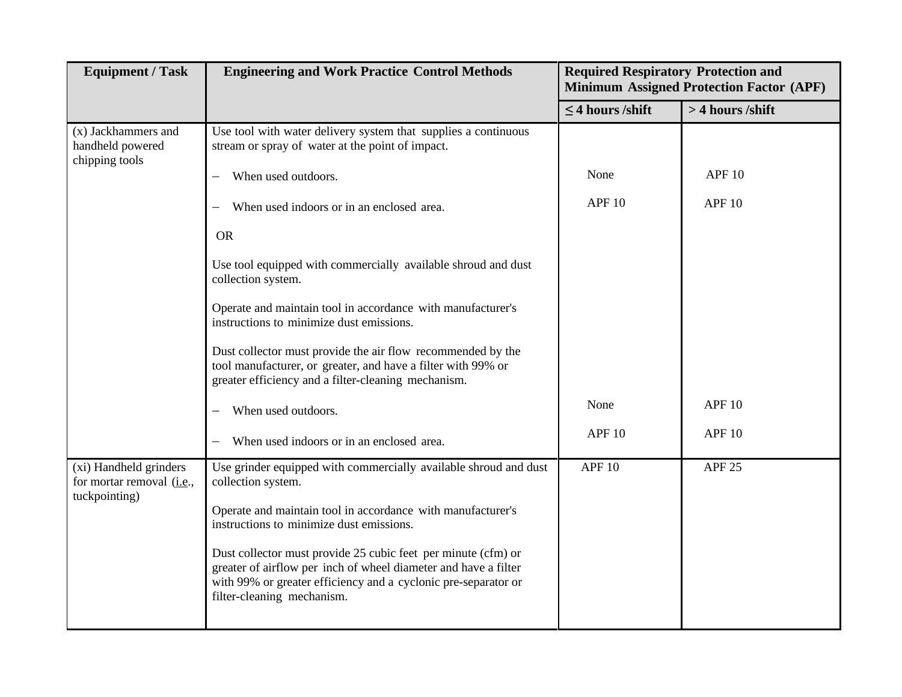| <b>Equipment / Task</b>                                              | <b>Engineering and Work Practice Control Methods</b>                                                                                                                                                                             | <b>Required Respiratory Protection and</b><br><b>Minimum Assigned Protection Factor (APF)</b> |                   |
|----------------------------------------------------------------------|----------------------------------------------------------------------------------------------------------------------------------------------------------------------------------------------------------------------------------|-----------------------------------------------------------------------------------------------|-------------------|
|                                                                      |                                                                                                                                                                                                                                  | $\leq$ 4 hours /shift                                                                         | > 4 hours /shift  |
| (x) Jackhammers and<br>handheld powered<br>chipping tools            | Use tool with water delivery system that supplies a continuous<br>stream or spray of water at the point of impact.                                                                                                               |                                                                                               |                   |
|                                                                      | When used outdoors.<br>—                                                                                                                                                                                                         | None                                                                                          | <b>APF 10</b>     |
|                                                                      | When used indoors or in an enclosed area.                                                                                                                                                                                        | <b>APF 10</b>                                                                                 | APF <sub>10</sub> |
|                                                                      | <b>OR</b>                                                                                                                                                                                                                        |                                                                                               |                   |
|                                                                      | Use tool equipped with commercially available shroud and dust<br>collection system.                                                                                                                                              |                                                                                               |                   |
|                                                                      | Operate and maintain tool in accordance with manufacturer's<br>instructions to minimize dust emissions.                                                                                                                          |                                                                                               |                   |
|                                                                      | Dust collector must provide the air flow recommended by the<br>tool manufacturer, or greater, and have a filter with 99% or<br>greater efficiency and a filter-cleaning mechanism.                                               |                                                                                               |                   |
|                                                                      | When used outdoors.                                                                                                                                                                                                              | None                                                                                          | <b>APF 10</b>     |
|                                                                      | When used indoors or in an enclosed area.                                                                                                                                                                                        | <b>APF 10</b>                                                                                 | APF <sub>10</sub> |
| (xi) Handheld grinders<br>for mortar removal (i.e.,<br>tuckpointing) | Use grinder equipped with commercially available shroud and dust<br>collection system.                                                                                                                                           | <b>APF 10</b>                                                                                 | <b>APF 25</b>     |
|                                                                      | Operate and maintain tool in accordance with manufacturer's<br>instructions to minimize dust emissions.                                                                                                                          |                                                                                               |                   |
|                                                                      | Dust collector must provide 25 cubic feet per minute (cfm) or<br>greater of airflow per inch of wheel diameter and have a filter<br>with 99% or greater efficiency and a cyclonic pre-separator or<br>filter-cleaning mechanism. |                                                                                               |                   |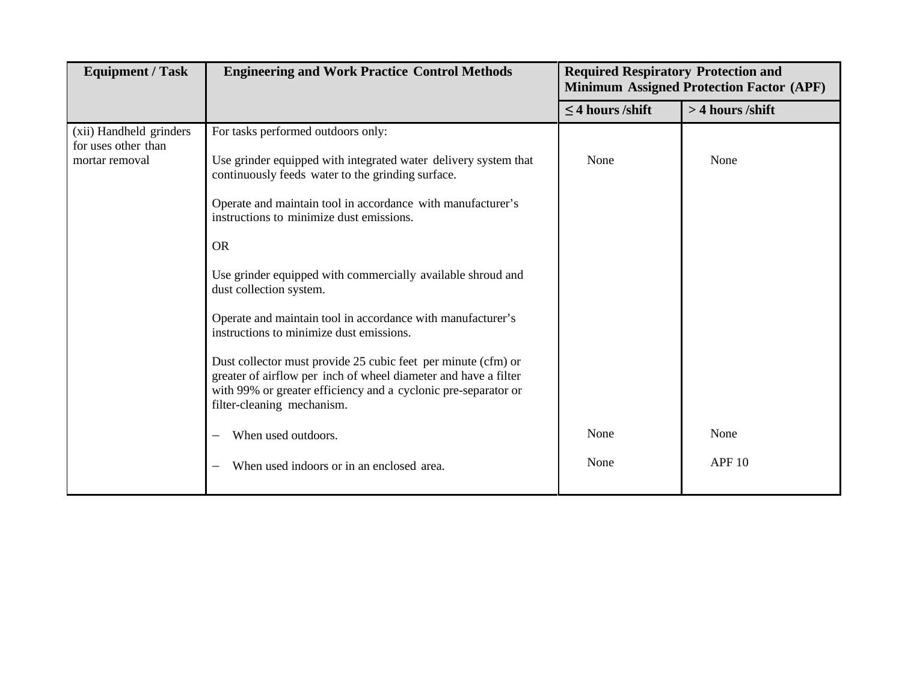| <b>Equipment / Task</b>                                          | <b>Engineering and Work Practice Control Methods</b>                                                                                                                                                                                                                                                                                                                                                                                                                                                                                                                                                                                                                                                                        | <b>Required Respiratory Protection and</b><br><b>Minimum Assigned Protection Factor (APF)</b> |                       |
|------------------------------------------------------------------|-----------------------------------------------------------------------------------------------------------------------------------------------------------------------------------------------------------------------------------------------------------------------------------------------------------------------------------------------------------------------------------------------------------------------------------------------------------------------------------------------------------------------------------------------------------------------------------------------------------------------------------------------------------------------------------------------------------------------------|-----------------------------------------------------------------------------------------------|-----------------------|
|                                                                  |                                                                                                                                                                                                                                                                                                                                                                                                                                                                                                                                                                                                                                                                                                                             | $\leq$ 4 hours /shift                                                                         | > 4 hours /shift      |
| (xii) Handheld grinders<br>for uses other than<br>mortar removal | For tasks performed outdoors only:<br>Use grinder equipped with integrated water delivery system that<br>continuously feeds water to the grinding surface.<br>Operate and maintain tool in accordance with manufacturer's<br>instructions to minimize dust emissions.<br><b>OR</b><br>Use grinder equipped with commercially available shroud and<br>dust collection system.<br>Operate and maintain tool in accordance with manufacturer's<br>instructions to minimize dust emissions.<br>Dust collector must provide 25 cubic feet per minute (cfm) or<br>greater of airflow per inch of wheel diameter and have a filter<br>with 99% or greater efficiency and a cyclonic pre-separator or<br>filter-cleaning mechanism. | None                                                                                          | None                  |
|                                                                  | When used outdoors.                                                                                                                                                                                                                                                                                                                                                                                                                                                                                                                                                                                                                                                                                                         | None<br>None                                                                                  | None<br><b>APF 10</b> |
|                                                                  | When used indoors or in an enclosed area.                                                                                                                                                                                                                                                                                                                                                                                                                                                                                                                                                                                                                                                                                   |                                                                                               |                       |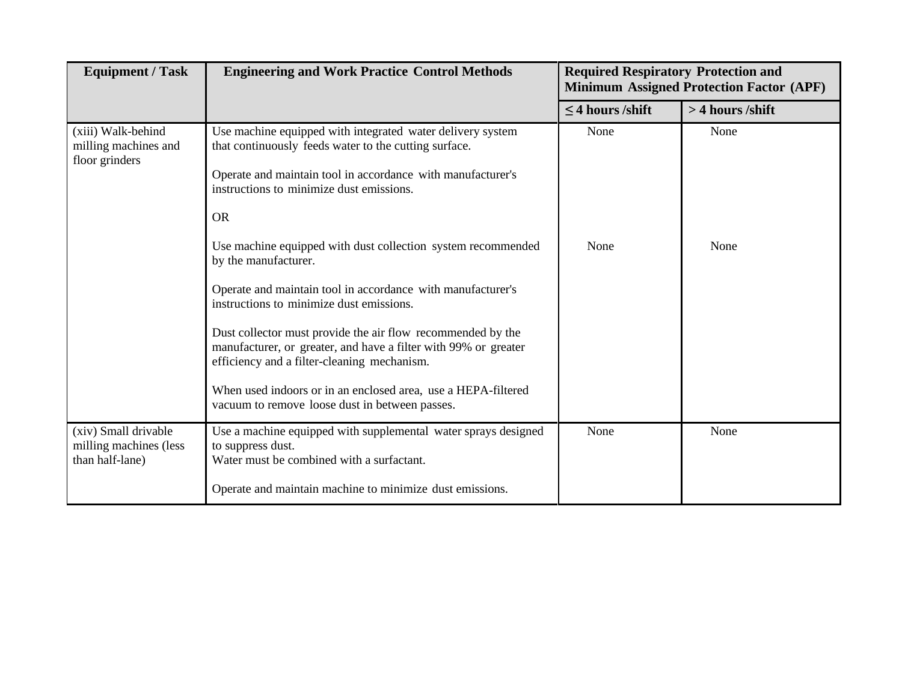| <b>Equipment / Task</b>                                           | <b>Engineering and Work Practice Control Methods</b>                                                                                                                                                                                                                                                                                                                                                                                                                                                                                                                                                                                                                                                                                               | <b>Required Respiratory Protection and</b><br><b>Minimum Assigned Protection Factor (APF)</b> |                  |
|-------------------------------------------------------------------|----------------------------------------------------------------------------------------------------------------------------------------------------------------------------------------------------------------------------------------------------------------------------------------------------------------------------------------------------------------------------------------------------------------------------------------------------------------------------------------------------------------------------------------------------------------------------------------------------------------------------------------------------------------------------------------------------------------------------------------------------|-----------------------------------------------------------------------------------------------|------------------|
|                                                                   |                                                                                                                                                                                                                                                                                                                                                                                                                                                                                                                                                                                                                                                                                                                                                    | $\leq$ 4 hours /shift                                                                         | > 4 hours /shift |
| (xiii) Walk-behind<br>milling machines and<br>floor grinders      | Use machine equipped with integrated water delivery system<br>that continuously feeds water to the cutting surface.<br>Operate and maintain tool in accordance with manufacturer's<br>instructions to minimize dust emissions.<br><b>OR</b><br>Use machine equipped with dust collection system recommended<br>by the manufacturer.<br>Operate and maintain tool in accordance with manufacturer's<br>instructions to minimize dust emissions.<br>Dust collector must provide the air flow recommended by the<br>manufacturer, or greater, and have a filter with 99% or greater<br>efficiency and a filter-cleaning mechanism.<br>When used indoors or in an enclosed area, use a HEPA-filtered<br>vacuum to remove loose dust in between passes. | None<br>None                                                                                  | None<br>None     |
| (xiv) Small drivable<br>milling machines (less<br>than half-lane) | Use a machine equipped with supplemental water sprays designed<br>to suppress dust.<br>Water must be combined with a surfactant.<br>Operate and maintain machine to minimize dust emissions.                                                                                                                                                                                                                                                                                                                                                                                                                                                                                                                                                       | None                                                                                          | None             |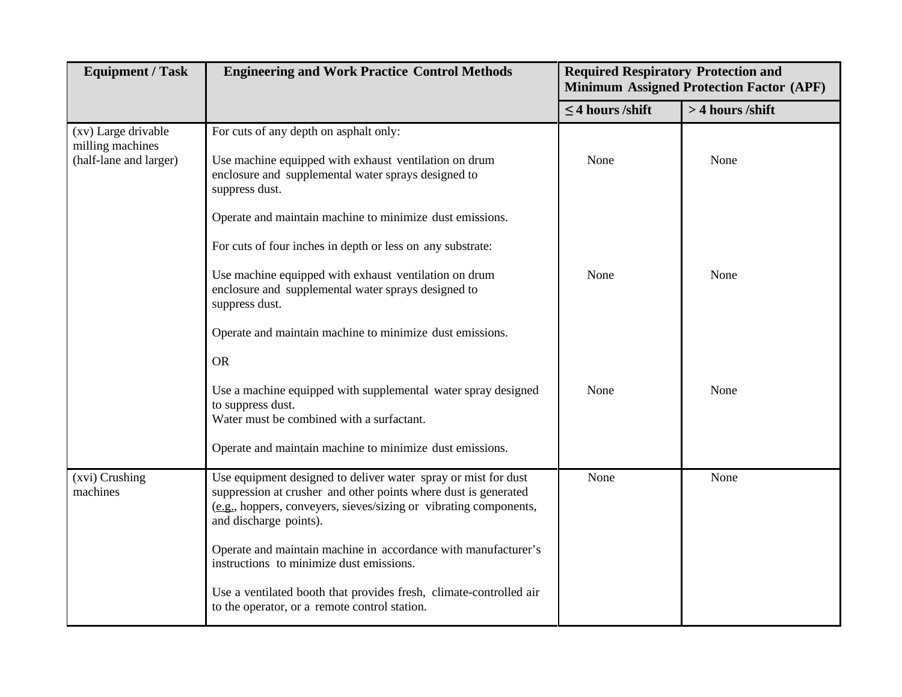| <b>Equipment / Task</b>                                           | <b>Engineering and Work Practice Control Methods</b>                                                                                                                                                                             | <b>Required Respiratory Protection and</b><br><b>Minimum Assigned Protection Factor (APF)</b> |                  |
|-------------------------------------------------------------------|----------------------------------------------------------------------------------------------------------------------------------------------------------------------------------------------------------------------------------|-----------------------------------------------------------------------------------------------|------------------|
|                                                                   |                                                                                                                                                                                                                                  | $\leq$ 4 hours /shift                                                                         | > 4 hours /shift |
| (xv) Large drivable<br>milling machines<br>(half-lane and larger) | For cuts of any depth on asphalt only:<br>Use machine equipped with exhaust ventilation on drum<br>enclosure and supplemental water sprays designed to<br>suppress dust.                                                         | None                                                                                          | None             |
|                                                                   | Operate and maintain machine to minimize dust emissions.                                                                                                                                                                         |                                                                                               |                  |
|                                                                   | For cuts of four inches in depth or less on any substrate:                                                                                                                                                                       |                                                                                               |                  |
|                                                                   | Use machine equipped with exhaust ventilation on drum<br>enclosure and supplemental water sprays designed to<br>suppress dust.                                                                                                   | None                                                                                          | None             |
|                                                                   | Operate and maintain machine to minimize dust emissions.                                                                                                                                                                         |                                                                                               |                  |
|                                                                   | <b>OR</b>                                                                                                                                                                                                                        |                                                                                               |                  |
|                                                                   | Use a machine equipped with supplemental water spray designed<br>to suppress dust.<br>Water must be combined with a surfactant.                                                                                                  | None                                                                                          | None             |
|                                                                   | Operate and maintain machine to minimize dust emissions.                                                                                                                                                                         |                                                                                               |                  |
| (xvi) Crushing<br>machines                                        | Use equipment designed to deliver water spray or mist for dust<br>suppression at crusher and other points where dust is generated<br>(e.g., hoppers, conveyers, sieves/sizing or vibrating components,<br>and discharge points). | None                                                                                          | None             |
|                                                                   | Operate and maintain machine in accordance with manufacturer's<br>instructions to minimize dust emissions.                                                                                                                       |                                                                                               |                  |
|                                                                   | Use a ventilated booth that provides fresh, climate-controlled air<br>to the operator, or a remote control station.                                                                                                              |                                                                                               |                  |